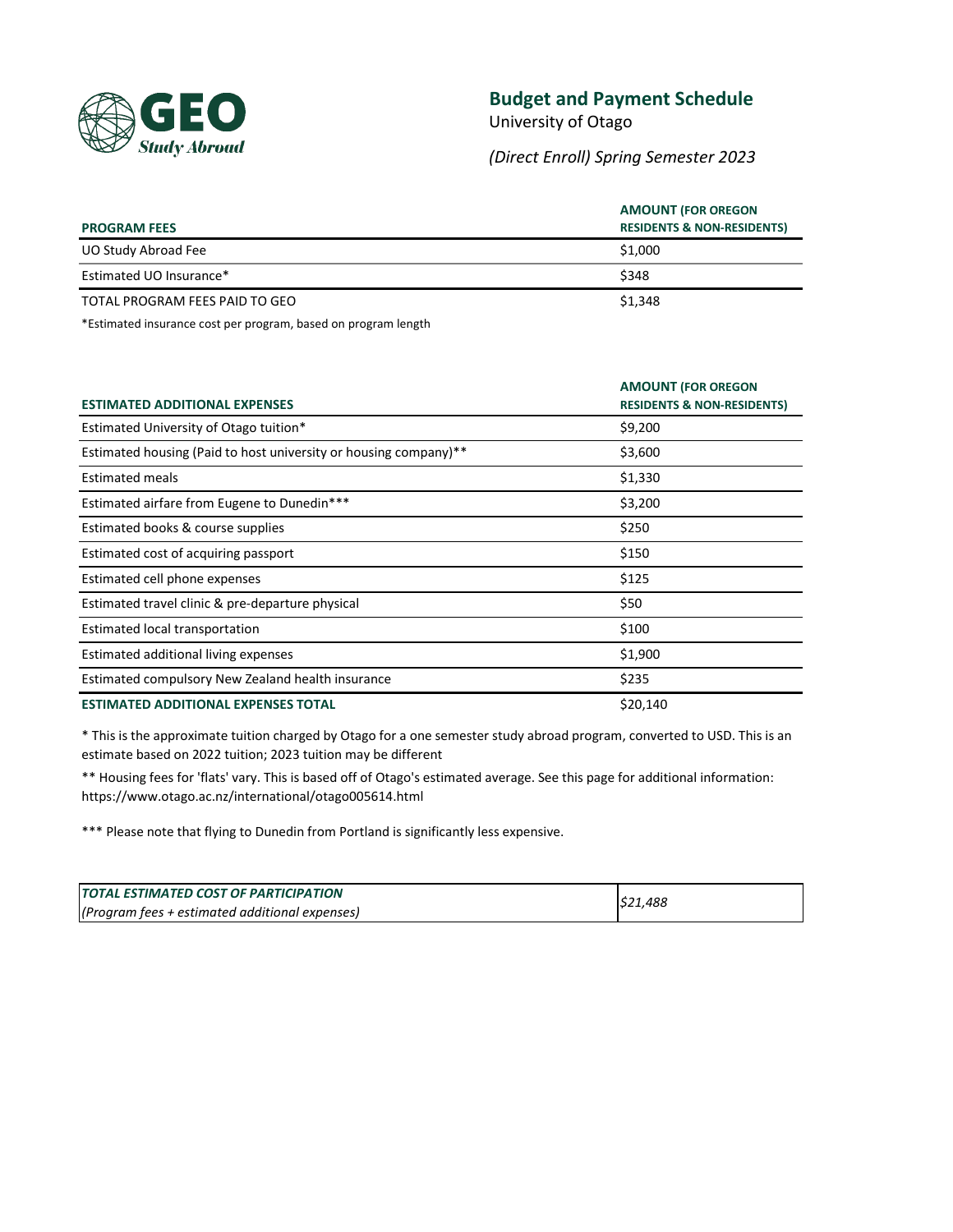

# **Budget and Payment Schedule**

University of Otago

*(Direct Enroll) Spring Semester 2023*

| <b>PROGRAM FEES</b>            | <b>AMOUNT (FOR OREGON</b><br><b>RESIDENTS &amp; NON-RESIDENTS)</b> |
|--------------------------------|--------------------------------------------------------------------|
| UO Study Abroad Fee            | \$1,000                                                            |
| Estimated UO Insurance*        | \$348                                                              |
| TOTAL PROGRAM FEES PAID TO GEO | \$1,348                                                            |

\*Estimated insurance cost per program, based on program length

| <b>ESTIMATED ADDITIONAL EXPENSES</b>                             | <b>AMOUNT (FOR OREGON</b><br><b>RESIDENTS &amp; NON-RESIDENTS)</b> |
|------------------------------------------------------------------|--------------------------------------------------------------------|
| Estimated University of Otago tuition*                           | \$9,200                                                            |
| Estimated housing (Paid to host university or housing company)** | \$3,600                                                            |
| <b>Estimated meals</b>                                           | \$1,330                                                            |
| Estimated airfare from Eugene to Dunedin***                      | \$3,200                                                            |
| Estimated books & course supplies                                | \$250                                                              |
| Estimated cost of acquiring passport                             | \$150                                                              |
| Estimated cell phone expenses                                    | \$125                                                              |
| Estimated travel clinic & pre-departure physical                 | \$50                                                               |
| Estimated local transportation                                   | \$100                                                              |
| Estimated additional living expenses                             | \$1,900                                                            |
| Estimated compulsory New Zealand health insurance                | \$235                                                              |
| <b>ESTIMATED ADDITIONAL EXPENSES TOTAL</b>                       | \$20,140                                                           |

\* This is the approximate tuition charged by Otago for a one semester study abroad program, converted to USD. This is an estimate based on 2022 tuition; 2023 tuition may be different

\*\* Housing fees for 'flats' vary. This is based off of Otago's estimated average. See this page for additional information: https://www.otago.ac.nz/international/otago005614.html

\*\*\* Please note that flying to Dunedin from Portland is significantly less expensive.

| <b>TOTAL ESTIMATED COST OF PARTICIPATION</b>   | \$21,488 |
|------------------------------------------------|----------|
| (Program fees + estimated additional expenses) |          |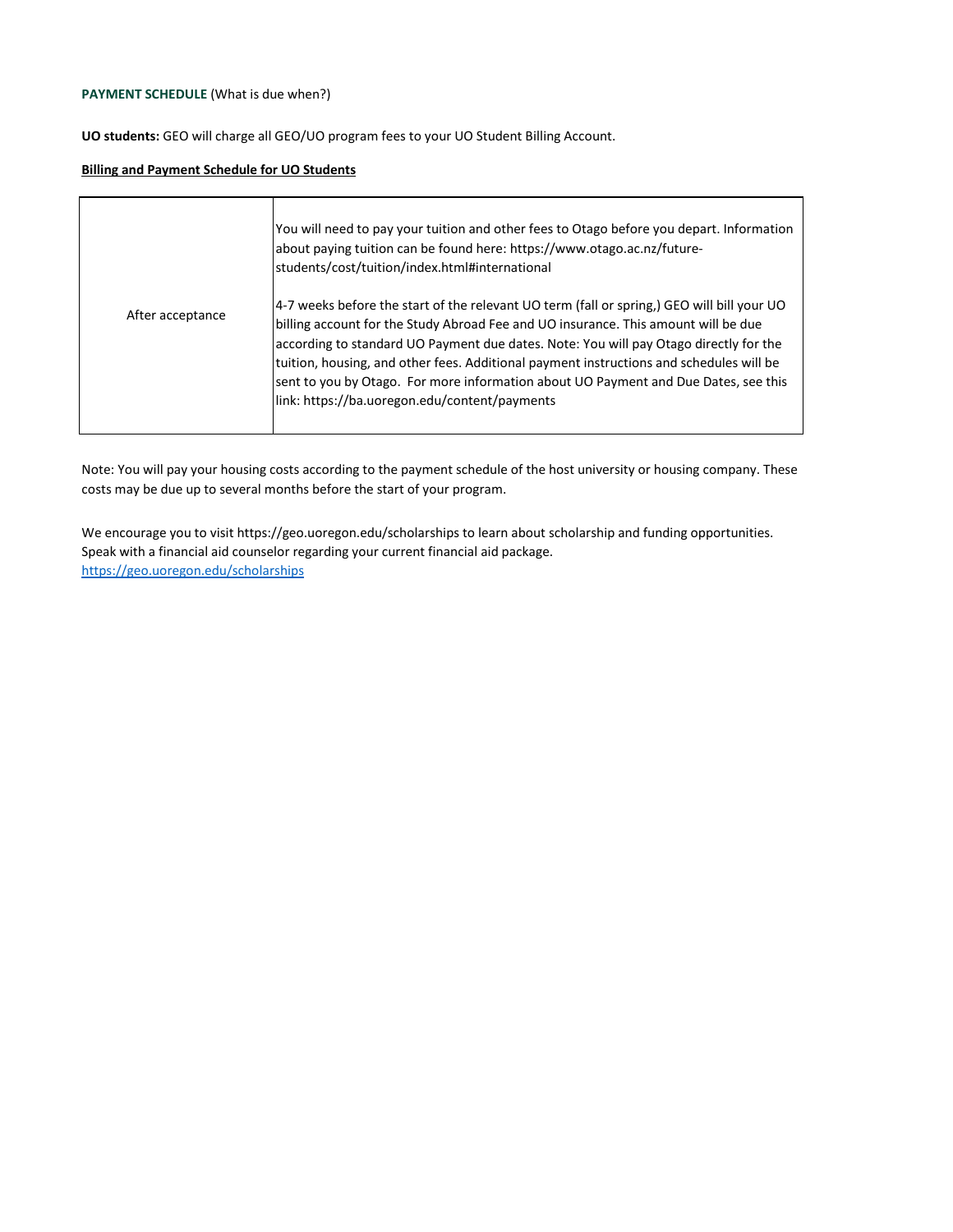# **PAYMENT SCHEDULE** (What is due when?)

**UO students:** GEO will charge all GEO/UO program fees to your UO Student Billing Account.

### **Billing and Payment Schedule for UO Students**

|                  | You will need to pay your tuition and other fees to Otago before you depart. Information<br>about paying tuition can be found here: https://www.otago.ac.nz/future-<br>students/cost/tuition/index.html#international                                                                                                                                                                                                                                                                                        |
|------------------|--------------------------------------------------------------------------------------------------------------------------------------------------------------------------------------------------------------------------------------------------------------------------------------------------------------------------------------------------------------------------------------------------------------------------------------------------------------------------------------------------------------|
| After acceptance | 4-7 weeks before the start of the relevant UO term (fall or spring.) GEO will bill your UO<br>billing account for the Study Abroad Fee and UO insurance. This amount will be due<br>according to standard UO Payment due dates. Note: You will pay Otago directly for the<br>tuition, housing, and other fees. Additional payment instructions and schedules will be<br>sent to you by Otago. For more information about UO Payment and Due Dates, see this<br>link: https://ba.uoregon.edu/content/payments |

Note: You will pay your housing costs according to the payment schedule of the host university or housing company. These costs may be due up to several months before the start of your program.

<https://geo.uoregon.edu/scholarships> We encourage you to visit https://geo.uoregon.edu/scholarships to learn about scholarship and funding opportunities. Speak with a financial aid counselor regarding your current financial aid package.